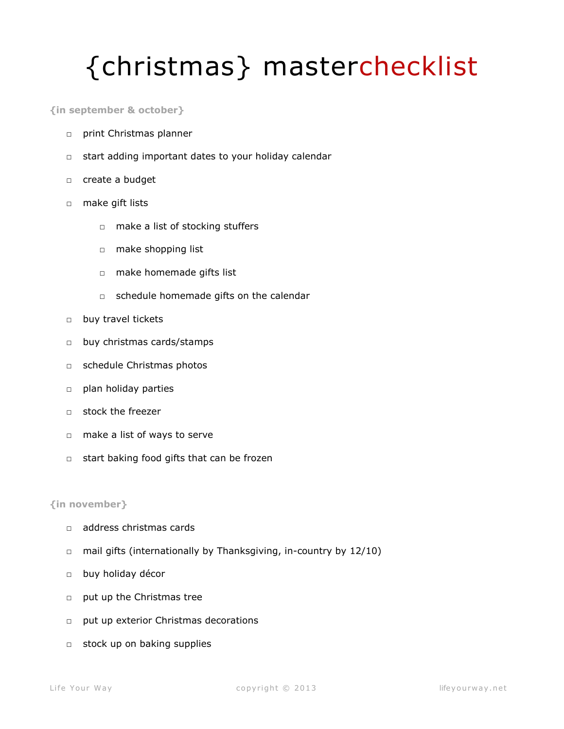# {christmas} masterchecklist

**{in september & october}** 

- □ print Christmas planner
- □ start adding important dates to your holiday calendar
- □ create a budget
- □ make gift lists
	- □ make a list of stocking stuffers
	- □ make shopping list
	- □ make homemade gifts list
	- □ schedule homemade gifts on the calendar
- □ buy travel tickets
- □ buy christmas cards/stamps
- □ schedule Christmas photos
- □ plan holiday parties
- □ stock the freezer
- □ make a list of ways to serve
- □ start baking food gifts that can be frozen

## **{in november}**

- □ address christmas cards
- $\Box$  mail gifts (internationally by Thanksgiving, in-country by 12/10)
- □ buy holiday décor
- □ put up the Christmas tree
- □ put up exterior Christmas decorations
- □ stock up on baking supplies